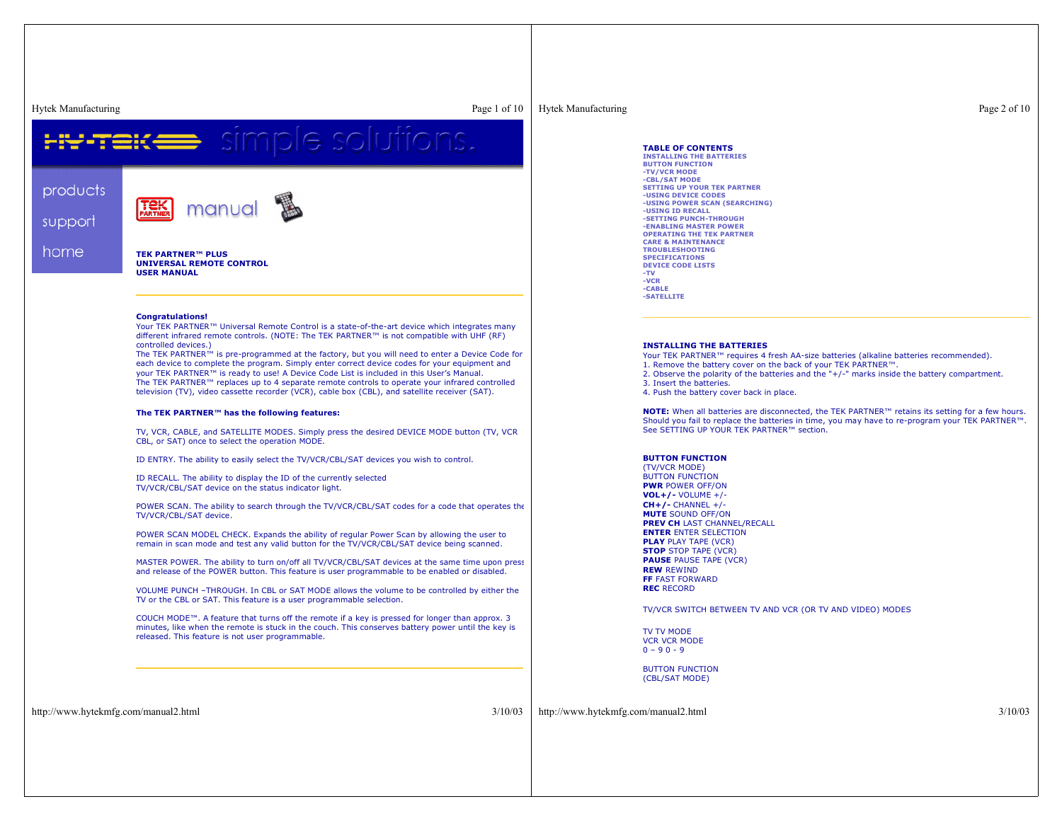products

support

home

Hytek Manufacturing Page 1 of 10 simple solutions. manual

> **TEK PARTNER™ PLUS UNIVERSAL REMOTE CONTROLUSER MANUAL**

### **Congratulations!**

Your TEK PARTNER™ Universal Remote Control is <sup>a</sup> state-of-the-art device which integrates many different infrared remote controls. (NOTE: The TEK PARTNER™ is not compatible with UHF (RF) controlled devices.)

The TEK PARTNER™ is pre-programmed at the factory, but you will need to enter <sup>a</sup> Device Code for each device to complete the program. Simply enter correct device codes for your equipment and your TEK PARTNER™ is ready to use! A Device Code List is included in this User's Manual. The TEK PARTNER™ replaces up to 4 separate remote controls to operate your infrared controlled television (TV), video cassette recorder (VCR), cable box (CBL), and satellite receiver (SAT).

# **The TEK PARTNER™ has the following features:**

TV, VCR, CABLE, and SATELLITE MODES. Simply press the desired DEVICE MODE button (TV, VCR CBL, or SAT) once to select the operation MODE.

ID ENTRY. The ability to easily select the TV/VCR/CBL/SAT devices you wish to control.

ID RECALL. The ability to display the ID of the currently selected TV/VCR/CBL/SAT device on the status indicator light.

POWER SCAN. The ability to search through the TV/VCR/CBL/SAT codes for <sup>a</sup> code that operates the TV/VCR/CBL/SAT device.

POWER SCAN MODEL CHECK. Expands the ability of regular Power Scan by allowing the user to remain in scan mode and test any valid button for the TV/VCR/CBL/SAT device being scanned.

MASTER POWER. The ability to turn on/off all TV/VCR/CBL/SAT devices at the same time upon press and release of the POWER button. This feature is user programmable to be enabled or disabled.

VOLUME PUNCH –THROUGH. In CBL or SAT MODE allows the volume to be controlled by either the TV or the CBL or SAT. This feature is <sup>a</sup> user programmable selection.

COUCH MODE™. A feature that turns off the remote if <sup>a</sup> key is pressed for longer than approx. 3 minutes, like when the remote is stuck in the couch. This conserves battery power until the key is released. This feature is not user programmable.

# Hytek Manufacturing Page 2 of 10

**TABLE OF CONTENTS**

 **INSTALLING THE BATTERIESBUTTON FUNCTION-TV/VCR MODE -CBL/SAT MODE SETTING UP YOUR TEK PARTNER-USING DEVICE CODES -USING POWER SCAN (SEARCHING) -USING ID RECALL -SETTING PUNCH-THROUGH -ENABLING MASTER POWER OPERATING THE TEK PARTNER CARE & MAINTENANCETROUBLESHOOTINGSPECIFICATIONS DEVICE CODE LISTS-TV -VCR -CABLE-SATELLITE**

### **INSTALLING THE BATTERIES**

- Your TEK PARTNER™ requires 4 fresh AA-size batteries (alkaline batteries recommended).
- 1. Remove the battery cover on the back of your TEK PARTNER™.
- 2. Observe the polarity of the batteries and the "+/-" marks inside the battery compartment.
- 3. Insert the batteries.
- 4. Push the battery cover back in place.

**NOTE:** When all batteries are disconnected, the TEK PARTNER™ retains its setting for <sup>a</sup> few hours. Should you fail to replace the batteries in time, you may have to re-program your TEK PARTNER™. See SETTING UP YOUR TEK PARTNER™ section.

### **BUTTON FUNCTION**

(TV/VCR MODE) BUTTON FUNCTION **PWR** POWER OFF/ON **VOL+/-** VOLUME +/- **CH+/-** CHANNEL +/- **MUTE** SOUND OFF/ON **PREV CH** LAST CHANNEL/RECALL **ENTER** ENTER SELECTION **PLAY** PLAY TAPE (VCR) **STOP** STOP TAPE (VCR) **PAUSE** PAUSE TAPE (VCR) **REW** REWIND **FF** FAST FORWARD**REC** RECORD

TV/VCR SWITCH BETWEEN TV AND VCR (OR TV AND VIDEO) MODES

TV TV MODE VCR VCR MODE $0 - 90 - 9$ 

BUTTON FUNCTION(CBL/SAT MODE)

http://www.hytekmfg.com/manual2.html 3/10/03

http://www.hytekmfg.com/manual2.html 3/10/03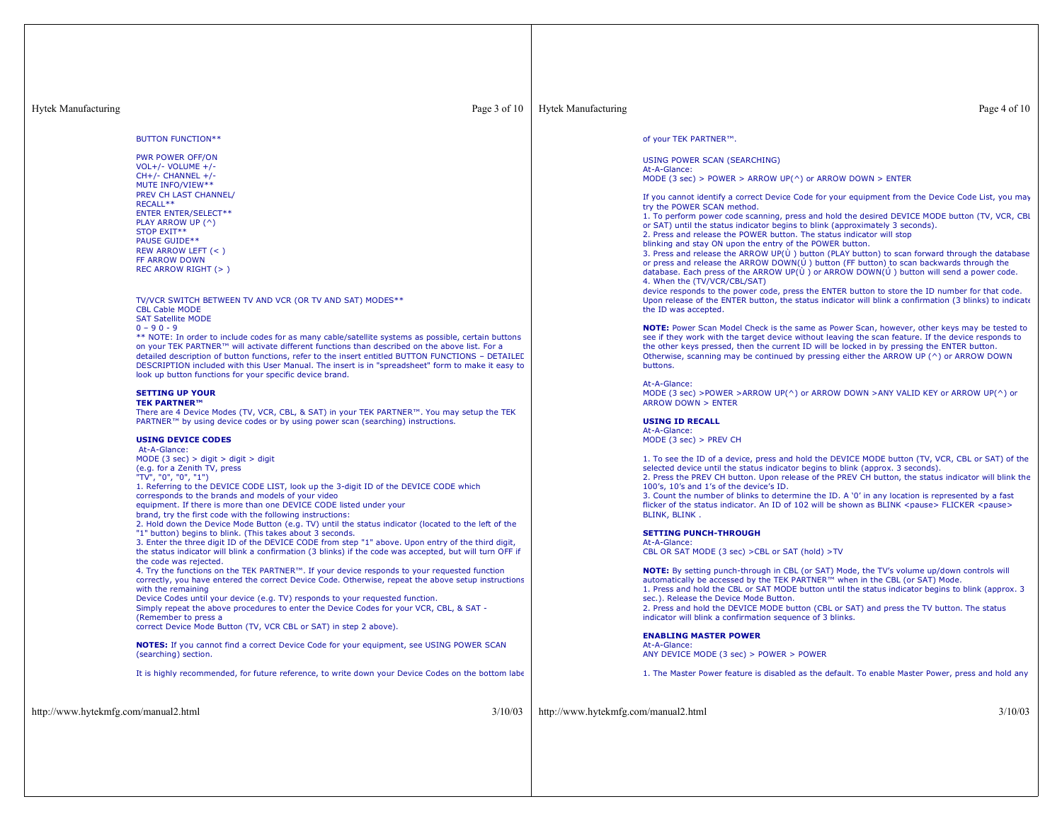| <b>Hytek Manufacturing</b>           | Page 3 of 10                                                                                                                                                                                                                                                                                                                                                                                                                                                                                                                                                                                                                                                                                                                                                                                                                                                                                                                                                                                                                                                                                                                                                                                                                                                                                                                                                                                                                                                                                                                                                                                                                                                                                                                                                                                                                                                                                                                                                                                                                                                                                                                                                                                                                                                      | <b>Hytek Manufacturing</b>           | Page 4 of 10                                                                                                                                                                                                                                                                                                                                                                                                                                                                                                                                                                                                                                                                                                                                                                                                                                                                                                                                                                                                                                                                                                                                                                                                                                                                                                                                                                                                                                                                                                                                                                                                                                                                                                                                                                                                                                                                                                                                                                                                                                                                                                                                                                                                                                                                                                                                                                                                                                                                                                                                                                                                                                                                                                                                                                                                         |
|--------------------------------------|-------------------------------------------------------------------------------------------------------------------------------------------------------------------------------------------------------------------------------------------------------------------------------------------------------------------------------------------------------------------------------------------------------------------------------------------------------------------------------------------------------------------------------------------------------------------------------------------------------------------------------------------------------------------------------------------------------------------------------------------------------------------------------------------------------------------------------------------------------------------------------------------------------------------------------------------------------------------------------------------------------------------------------------------------------------------------------------------------------------------------------------------------------------------------------------------------------------------------------------------------------------------------------------------------------------------------------------------------------------------------------------------------------------------------------------------------------------------------------------------------------------------------------------------------------------------------------------------------------------------------------------------------------------------------------------------------------------------------------------------------------------------------------------------------------------------------------------------------------------------------------------------------------------------------------------------------------------------------------------------------------------------------------------------------------------------------------------------------------------------------------------------------------------------------------------------------------------------------------------------------------------------|--------------------------------------|----------------------------------------------------------------------------------------------------------------------------------------------------------------------------------------------------------------------------------------------------------------------------------------------------------------------------------------------------------------------------------------------------------------------------------------------------------------------------------------------------------------------------------------------------------------------------------------------------------------------------------------------------------------------------------------------------------------------------------------------------------------------------------------------------------------------------------------------------------------------------------------------------------------------------------------------------------------------------------------------------------------------------------------------------------------------------------------------------------------------------------------------------------------------------------------------------------------------------------------------------------------------------------------------------------------------------------------------------------------------------------------------------------------------------------------------------------------------------------------------------------------------------------------------------------------------------------------------------------------------------------------------------------------------------------------------------------------------------------------------------------------------------------------------------------------------------------------------------------------------------------------------------------------------------------------------------------------------------------------------------------------------------------------------------------------------------------------------------------------------------------------------------------------------------------------------------------------------------------------------------------------------------------------------------------------------------------------------------------------------------------------------------------------------------------------------------------------------------------------------------------------------------------------------------------------------------------------------------------------------------------------------------------------------------------------------------------------------------------------------------------------------------------------------------------------------|
|                                      | <b>BUTTON FUNCTION**</b><br><b>PWR POWER OFF/ON</b><br>VOL+/- VOLUME $+$ /-<br>$CH+/-$ CHANNEL +/-<br>MUTE INFO/VIEW**<br>PREV CH LAST CHANNEL/<br>RECALL**<br><b>ENTER ENTER/SELECT**</b><br>PLAY ARROW UP (^)<br>STOP EXIT**<br><b>PAUSE GUIDE**</b><br>REW ARROW LEFT (<)<br>FF ARROW DOWN<br>REC ARROW RIGHT (>)<br>TV/VCR SWITCH BETWEEN TV AND VCR (OR TV AND SAT) MODES**<br><b>CBL Cable MODE</b><br><b>SAT Satellite MODE</b><br>$0 - 90 - 9$<br>** NOTE: In order to include codes for as many cable/satellite systems as possible, certain buttons<br>on your TEK PARTNER™ will activate different functions than described on the above list. For a<br>detailed description of button functions, refer to the insert entitled BUTTON FUNCTIONS - DETAILED<br>DESCRIPTION included with this User Manual. The insert is in "spreadsheet" form to make it easy to<br>look up button functions for your specific device brand.<br><b>SETTING UP YOUR</b><br><b>TEK PARTNER™</b><br>There are 4 Device Modes (TV, VCR, CBL, & SAT) in your TEK PARTNER™. You may setup the TEK<br>PARTNER™ by using device codes or by using power scan (searching) instructions.<br><b>USING DEVICE CODES</b><br>At-A-Glance:<br>MODE $(3 \text{ sec})$ > digit > digit > digit<br>(e.g. for a Zenith TV, press<br>"TV", "0", "0", "1")<br>1. Referring to the DEVICE CODE LIST, look up the 3-digit ID of the DEVICE CODE which<br>corresponds to the brands and models of your video<br>equipment. If there is more than one DEVICE CODE listed under your<br>brand, try the first code with the following instructions:<br>2. Hold down the Device Mode Button (e.g. TV) until the status indicator (located to the left of the<br>"1" button) begins to blink. (This takes about 3 seconds.<br>3. Enter the three digit ID of the DEVICE CODE from step "1" above. Upon entry of the third digit,<br>the status indicator will blink a confirmation (3 blinks) if the code was accepted, but will turn OFF if<br>the code was rejected.<br>4. Try the functions on the TEK PARTNER™. If your device responds to your requested function<br>correctly, you have entered the correct Device Code. Otherwise, repeat the above setup instructions<br>with the remaining |                                      | of your TEK PARTNER™.<br><b>USING POWER SCAN (SEARCHING)</b><br>At-A-Glance:<br>MODE (3 sec) > POWER > ARROW UP( $\wedge$ ) or ARROW DOWN > ENTER<br>If you cannot identify a correct Device Code for your equipment from the Device Code List, you may<br>try the POWER SCAN method.<br>1. To perform power code scanning, press and hold the desired DEVICE MODE button (TV, VCR, CBL<br>or SAT) until the status indicator begins to blink (approximately 3 seconds).<br>2. Press and release the POWER button. The status indicator will stop<br>blinking and stay ON upon the entry of the POWER button.<br>3. Press and release the ARROW UP( $\dot{\theta}$ ) button (PLAY button) to scan forward through the database<br>or press and release the ARROW DOWN( $\acute{U}$ ) button (FF button) to scan backwards through the<br>database. Each press of the ARROW UP(U) or ARROW DOWN(U) button will send a power code.<br>4. When the (TV/VCR/CBL/SAT)<br>device responds to the power code, press the ENTER button to store the ID number for that code.<br>Upon release of the ENTER button, the status indicator will blink a confirmation (3 blinks) to indicate<br>the ID was accepted.<br><b>NOTE:</b> Power Scan Model Check is the same as Power Scan, however, other keys may be tested to<br>see if they work with the target device without leaving the scan feature. If the device responds to<br>the other keys pressed, then the current ID will be locked in by pressing the ENTER button.<br>Otherwise, scanning may be continued by pressing either the ARROW UP (^) or ARROW DOWN<br>buttons.<br>At-A-Glance:<br>MODE (3 sec) >POWER >ARROW UP(^) or ARROW DOWN >ANY VALID KEY or ARROW UP(^) or<br><b>ARROW DOWN &gt; ENTER</b><br><b>USING ID RECALL</b><br>At-A-Glance:<br>MODE (3 sec) > PREV CH<br>1. To see the ID of a device, press and hold the DEVICE MODE button (TV, VCR, CBL or SAT) of the<br>selected device until the status indicator begins to blink (approx. 3 seconds).<br>2. Press the PREV CH button. Upon release of the PREV CH button, the status indicator will blink the<br>100's, 10's and 1's of the device's ID.<br>3. Count the number of blinks to determine the ID. A '0' in any location is represented by a fast<br>flicker of the status indicator. An ID of 102 will be shown as BLINK <pause>FLICKER <pause><br/>BLINK, BLINK.<br/><b>SETTING PUNCH-THROUGH</b><br/>At-A-Glance:<br/>CBL OR SAT MODE (3 sec) &gt; CBL or SAT (hold) &gt; TV<br/>NOTE: By setting punch-through in CBL (or SAT) Mode, the TV's volume up/down controls will<br/>automatically be accessed by the TEK PARTNER™ when in the CBL (or SAT) Mode.<br/>1. Press and hold the CBL or SAT MODE button until the status indicator begins to blink (approx. 3</pause></pause> |
|                                      | Device Codes until your device (e.g. TV) responds to your requested function.                                                                                                                                                                                                                                                                                                                                                                                                                                                                                                                                                                                                                                                                                                                                                                                                                                                                                                                                                                                                                                                                                                                                                                                                                                                                                                                                                                                                                                                                                                                                                                                                                                                                                                                                                                                                                                                                                                                                                                                                                                                                                                                                                                                     |                                      | sec.). Release the Device Mode Button.                                                                                                                                                                                                                                                                                                                                                                                                                                                                                                                                                                                                                                                                                                                                                                                                                                                                                                                                                                                                                                                                                                                                                                                                                                                                                                                                                                                                                                                                                                                                                                                                                                                                                                                                                                                                                                                                                                                                                                                                                                                                                                                                                                                                                                                                                                                                                                                                                                                                                                                                                                                                                                                                                                                                                                               |
|                                      | Simply repeat the above procedures to enter the Device Codes for your VCR, CBL, & SAT -<br>(Remember to press a<br>correct Device Mode Button (TV, VCR CBL or SAT) in step 2 above).<br>NOTES: If you cannot find a correct Device Code for your equipment, see USING POWER SCAN<br>(searching) section.<br>It is highly recommended, for future reference, to write down your Device Codes on the bottom labe                                                                                                                                                                                                                                                                                                                                                                                                                                                                                                                                                                                                                                                                                                                                                                                                                                                                                                                                                                                                                                                                                                                                                                                                                                                                                                                                                                                                                                                                                                                                                                                                                                                                                                                                                                                                                                                    |                                      | 2. Press and hold the DEVICE MODE button (CBL or SAT) and press the TV button. The status<br>indicator will blink a confirmation sequence of 3 blinks.<br><b>ENABLING MASTER POWER</b><br>At-A-Glance:<br>ANY DEVICE MODE (3 sec) > POWER > POWER<br>1. The Master Power feature is disabled as the default. To enable Master Power, press and hold any                                                                                                                                                                                                                                                                                                                                                                                                                                                                                                                                                                                                                                                                                                                                                                                                                                                                                                                                                                                                                                                                                                                                                                                                                                                                                                                                                                                                                                                                                                                                                                                                                                                                                                                                                                                                                                                                                                                                                                                                                                                                                                                                                                                                                                                                                                                                                                                                                                                              |
| http://www.hytekmfg.com/manual2.html | 3/10/03                                                                                                                                                                                                                                                                                                                                                                                                                                                                                                                                                                                                                                                                                                                                                                                                                                                                                                                                                                                                                                                                                                                                                                                                                                                                                                                                                                                                                                                                                                                                                                                                                                                                                                                                                                                                                                                                                                                                                                                                                                                                                                                                                                                                                                                           | http://www.hytekmfg.com/manual2.html | 3/10/03                                                                                                                                                                                                                                                                                                                                                                                                                                                                                                                                                                                                                                                                                                                                                                                                                                                                                                                                                                                                                                                                                                                                                                                                                                                                                                                                                                                                                                                                                                                                                                                                                                                                                                                                                                                                                                                                                                                                                                                                                                                                                                                                                                                                                                                                                                                                                                                                                                                                                                                                                                                                                                                                                                                                                                                                              |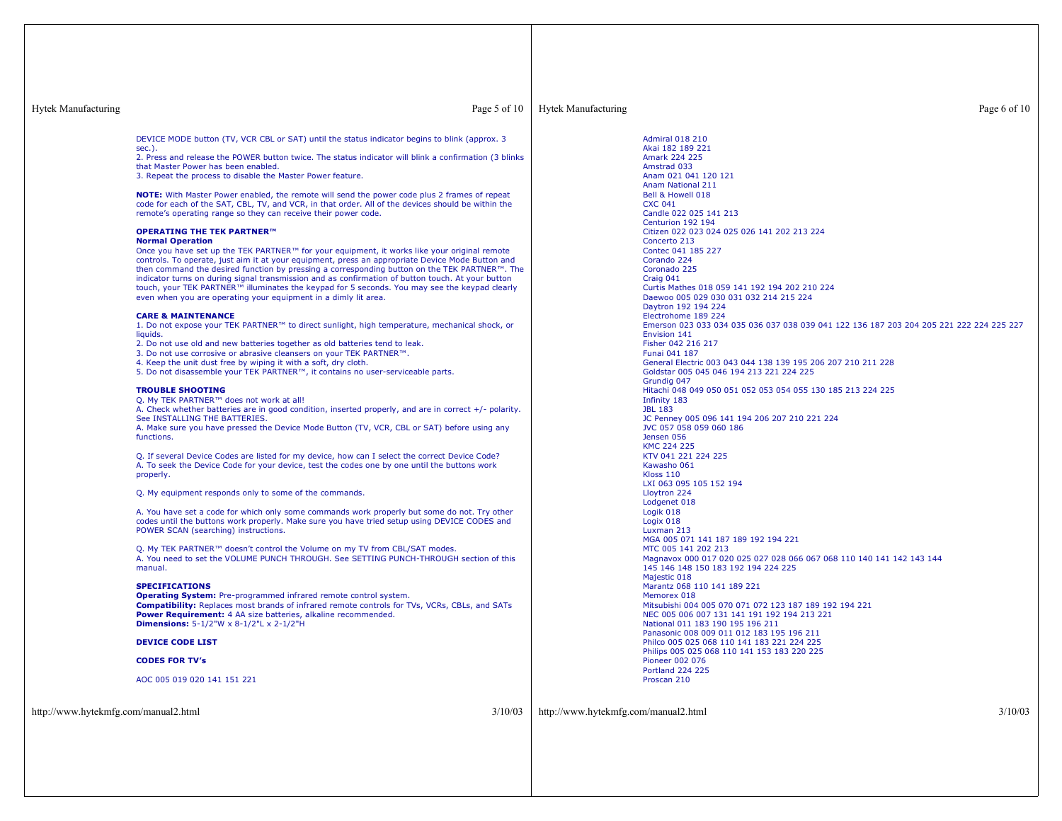Hytek Manufacturing Page 5 of 10

# Hytek Manufacturing Page 6 of 10

DEVICE MODE button (TV, VCR CBL or SAT) until the status indicator begins to blink (approx. 3 sec.).

2. Press and release the POWER button twice. The status indicator will blink <sup>a</sup> confirmation (3 blinks that Master Power has been enabled.

3. Repeat the process to disable the Master Power feature.

**NOTE:** With Master Power enabled, the remote will send the power code plus 2 frames of repeat code for each of the SAT, CBL, TV, and VCR, in that order. All of the devices should be within the remote's operating range so they can receive their power code.

### **OPERATING THE TEK PARTNER™**

# **Normal Operation**

Once you have set up the TEK PARTNER™ for your equipment, it works like your original remote controls. To operate, just aim it at your equipment, press an appropriate Device Mode Button and then command the desired function by pressing <sup>a</sup> corresponding button on the TEK PARTNER™. The indicator turns on during signal transmission and as confirmation of button touch. At your button touch, your TEK PARTNER™ illuminates the keypad for 5 seconds. You may see the keypad clearly even when you are operating your equipment in <sup>a</sup> dimly lit area.

### **CARE & MAINTENANCE**

 1. Do not expose your TEK PARTNER™ to direct sunlight, high temperature, mechanical shock, or liquids.

2. Do not use old and new batteries together as old batteries tend to leak.

3. Do not use corrosive or abrasive cleansers on your TEK PARTNER™.

4. Keep the unit dust free by wiping it with <sup>a</sup> soft, dry cloth.

5. Do not disassemble your TEK PARTNER™, it contains no user-serviceable parts.

### **TROUBLE SHOOTING**

Q. My TEK PARTNER™ does not work at all!

A. Check whether batteries are in good condition, inserted properly, and are in correct +/- polarity. See INSTALLING THE BATTERIES.

 A. Make sure you have pressed the Device Mode Button (TV, VCR, CBL or SAT) before using any functions.

Q. If several Device Codes are listed for my device, how can I select the correct Device Code? A. To seek the Device Code for your device, test the codes one by one until the buttons work properly.

Q. My equipment responds only to some of the commands.

A. You have set <sup>a</sup> code for which only some commands work properly but some do not. Try other codes until the buttons work properly. Make sure you have tried setup using DEVICE CODES and POWER SCAN (searching) instructions.

Q. My TEK PARTNER™ doesn't control the Volume on my TV from CBL/SAT modes. A. You need to set the VOLUME PUNCH THROUGH. See SETTING PUNCH-THROUGH section of thismanual.

# **SPECIFICATIONS**

 **Operating System:** Pre-programmed infrared remote control system. **Compatibility:** Replaces most brands of infrared remote controls for TVs, VCRs, CBLs, and SATs **Power Requirement:** 4 AA size batteries, alkaline recommended. **Dimensions:** 5-1/2"W <sup>x</sup> 8-1/2"L <sup>x</sup> 2-1/2"H

## **DEVICE CODE LIST**

# **CODES FOR TV's**

AOC 005 019 020 141 151 221

http://www.hytekmfg.com/manual2.html 3/10/03

http://www.hytekmfg.com/manual2.html 3/10/03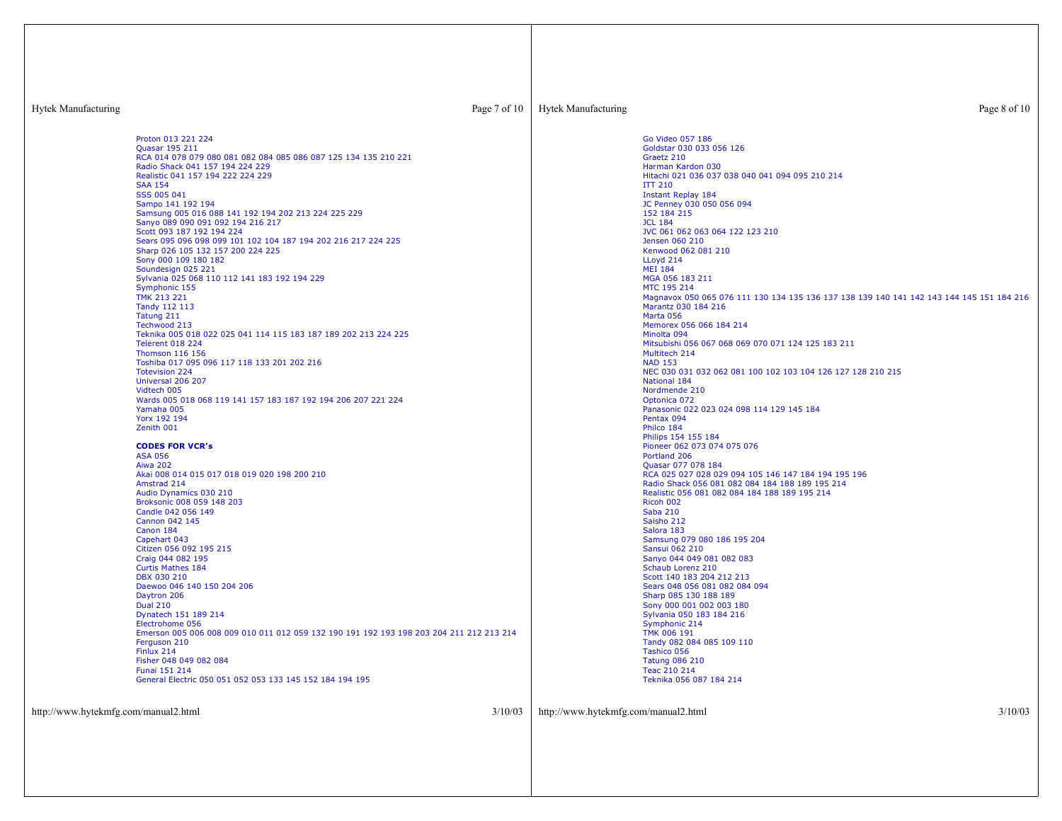| <b>Hytek Manufacturing</b><br>Page 7 of 10                                                                                              |         | <b>Hytek Manufacturing</b>           | Page 8 of 10                                                                                                                                            |
|-----------------------------------------------------------------------------------------------------------------------------------------|---------|--------------------------------------|---------------------------------------------------------------------------------------------------------------------------------------------------------|
| Proton 013 221 224<br>Quasar 195 211                                                                                                    |         |                                      | Go Video 057 186<br>Goldstar 030 033 056 126                                                                                                            |
| RCA 014 078 079 080 081 082 084 085 086 087 125 134 135 210 221<br>Radio Shack 041 157 194 224 229<br>Realistic 041 157 194 222 224 229 |         |                                      | Graetz 210<br>Harman Kardon 030<br>Hitachi 021 036 037 038 040 041 094 095 210 214                                                                      |
| <b>SAA 154</b><br>SSS 005 041                                                                                                           |         |                                      | <b>ITT 210</b><br><b>Instant Replay 184</b>                                                                                                             |
| Sampo 141 192 194<br>Samsung 005 016 088 141 192 194 202 213 224 225 229<br>Sanyo 089 090 091 092 194 216 217                           |         |                                      | JC Penney 030 050 056 094<br>152 184 215<br><b>JCL 184</b>                                                                                              |
| Scott 093 187 192 194 224<br>Sears 095 096 098 099 101 102 104 187 194 202 216 217 224 225<br>Sharp 026 105 132 157 200 224 225         |         |                                      | JVC 061 062 063 064 122 123 210<br>Jensen 060 210<br>Kenwood 062 081 210                                                                                |
| Sony 000 109 180 182<br>Soundesign 025 221<br>Sylvania 025 068 110 112 141 183 192 194 229                                              |         |                                      | LLoyd 214<br><b>MEI 184</b><br>MGA 056 183 211                                                                                                          |
| Symphonic 155<br><b>TMK 213 221</b><br>Tandy 112 113                                                                                    |         |                                      | MTC 195 214<br>Magnavox 050 065 076 111 130 134 135 136 137 138 139 140 141 142 143 144 145 151 184 216<br>Marantz 030 184 216                          |
| Tatung 211<br>Techwood 213<br>Teknika 005 018 022 025 041 114 115 183 187 189 202 213 224 225                                           |         |                                      | Marta 056<br>Memorex 056 066 184 214<br>Minolta 094                                                                                                     |
| <b>Telerent 018 224</b><br>Thomson 116 156                                                                                              |         |                                      | Mitsubishi 056 067 068 069 070 071 124 125 183 211<br>Multitech 214                                                                                     |
| Toshiba 017 095 096 117 118 133 201 202 216<br><b>Totevision 224</b><br>Universal 206 207                                               |         |                                      | <b>NAD 153</b><br>NEC 030 031 032 062 081 100 102 103 104 126 127 128 210 215<br>National 184                                                           |
| Vidtech 005<br>Wards 005 018 068 119 141 157 183 187 192 194 206 207 221 224<br>Yamaha 005                                              |         |                                      | Nordmende 210<br>Optonica 072<br>Panasonic 022 023 024 098 114 129 145 184                                                                              |
| Yorx 192 194<br>Zenith 001                                                                                                              |         |                                      | Pentax 094<br>Philco 184<br>Philips 154 155 184                                                                                                         |
| <b>CODES FOR VCR's</b><br><b>ASA 056</b><br><b>Aiwa 202</b>                                                                             |         |                                      | Pioneer 062 073 074 075 076<br>Portland 206<br>Quasar 077 078 184                                                                                       |
| Akai 008 014 015 017 018 019 020 198 200 210<br>Amstrad 214<br>Audio Dynamics 030 210                                                   |         |                                      | RCA 025 027 028 029 094 105 146 147 184 194 195 196<br>Radio Shack 056 081 082 084 184 188 189 195 214<br>Realistic 056 081 082 084 184 188 189 195 214 |
| Broksonic 008 059 148 203<br>Candle 042 056 149<br>Cannon 042 145                                                                       |         |                                      | Ricoh 002<br>Saba 210<br>Saisho 212                                                                                                                     |
| Canon 184<br>Capehart 043                                                                                                               |         |                                      | Salora 183<br>Samsung 079 080 186 195 204                                                                                                               |
| Citizen 056 092 195 215<br>Craig 044 082 195<br><b>Curtis Mathes 184</b>                                                                |         |                                      | Sansui 062 210<br>Sanyo 044 049 081 082 083<br>Schaub Lorenz 210                                                                                        |
| DBX 030 210<br>Daewoo 046 140 150 204 206<br>Daytron 206                                                                                |         |                                      | Scott 140 183 204 212 213<br>Sears 048 056 081 082 084 094<br>Sharp 085 130 188 189                                                                     |
| <b>Dual 210</b><br>Dynatech 151 189 214<br>Electrohome 056                                                                              |         |                                      | Sony 000 001 002 003 180<br>Sylvania 050 183 184 216<br>Symphonic 214                                                                                   |
| Emerson 005 006 008 009 010 011 012 059 132 190 191 192 193 198 203 204 211 212 213 214<br>Ferguson 210<br>Finlux 214                   |         |                                      | TMK 006 191<br>Tandy 082 084 085 109 110<br>Tashico 056                                                                                                 |
| Fisher 048 049 082 084<br>Funai 151 214<br>General Electric 050 051 052 053 133 145 152 184 194 195                                     |         |                                      | <b>Tatung 086 210</b><br>Teac 210 214<br>Teknika 056 087 184 214                                                                                        |
|                                                                                                                                         |         |                                      |                                                                                                                                                         |
| http://www.hytekmfg.com/manual2.html                                                                                                    | 3/10/03 | http://www.hytekmfg.com/manual2.html | 3/10/03                                                                                                                                                 |
|                                                                                                                                         |         |                                      |                                                                                                                                                         |